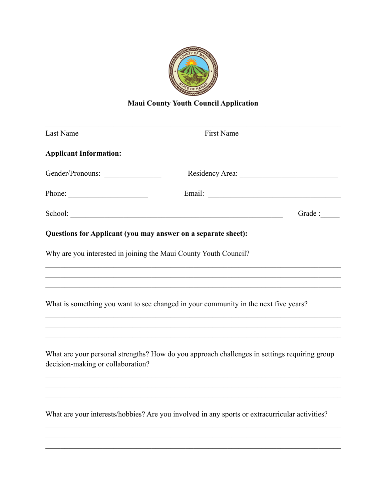

## **Maui County Youth Council Application**

| Last Name                                                                                                                                                                                                                                                                                                                                                                                                    | <b>First Name</b>                                                                                                                                                                                                                   |         |  |  |
|--------------------------------------------------------------------------------------------------------------------------------------------------------------------------------------------------------------------------------------------------------------------------------------------------------------------------------------------------------------------------------------------------------------|-------------------------------------------------------------------------------------------------------------------------------------------------------------------------------------------------------------------------------------|---------|--|--|
| <b>Applicant Information:</b>                                                                                                                                                                                                                                                                                                                                                                                |                                                                                                                                                                                                                                     |         |  |  |
| Gender/Pronouns:                                                                                                                                                                                                                                                                                                                                                                                             | Residency Area:                                                                                                                                                                                                                     |         |  |  |
| Phone: $\frac{1}{\sqrt{1-\frac{1}{2}}\sqrt{1-\frac{1}{2}}\sqrt{1-\frac{1}{2}}\sqrt{1-\frac{1}{2}}\sqrt{1-\frac{1}{2}}\sqrt{1-\frac{1}{2}}\sqrt{1-\frac{1}{2}}\sqrt{1-\frac{1}{2}}\sqrt{1-\frac{1}{2}}\sqrt{1-\frac{1}{2}}\sqrt{1-\frac{1}{2}}\sqrt{1-\frac{1}{2}}\sqrt{1-\frac{1}{2}}\sqrt{1-\frac{1}{2}}\sqrt{1-\frac{1}{2}}\sqrt{1-\frac{1}{2}}\sqrt{1-\frac{1}{2}}\sqrt{1-\frac{1}{2}}\sqrt{1-\frac{1}{2$ | Email: <u>Discovered</u> Email: 2007                                                                                                                                                                                                |         |  |  |
|                                                                                                                                                                                                                                                                                                                                                                                                              | School: <u>Contained</u> Contained by the contained by the contained by the contact of the contact of the contact of the contact of the contact of the contact of the contact of the contact of the contact of the contact of the c | Grade : |  |  |
| Questions for Applicant (you may answer on a separate sheet):                                                                                                                                                                                                                                                                                                                                                |                                                                                                                                                                                                                                     |         |  |  |
| Why are you interested in joining the Maui County Youth Council?                                                                                                                                                                                                                                                                                                                                             |                                                                                                                                                                                                                                     |         |  |  |
|                                                                                                                                                                                                                                                                                                                                                                                                              |                                                                                                                                                                                                                                     |         |  |  |
| What is something you want to see changed in your community in the next five years?                                                                                                                                                                                                                                                                                                                          |                                                                                                                                                                                                                                     |         |  |  |
|                                                                                                                                                                                                                                                                                                                                                                                                              |                                                                                                                                                                                                                                     |         |  |  |
| What are your personal strengths? How do you approach challenges in settings requiring group<br>decision-making or collaboration?                                                                                                                                                                                                                                                                            |                                                                                                                                                                                                                                     |         |  |  |
|                                                                                                                                                                                                                                                                                                                                                                                                              |                                                                                                                                                                                                                                     |         |  |  |
|                                                                                                                                                                                                                                                                                                                                                                                                              | What are your interests/hobbies? Are you involved in any sports or extracurricular activities?                                                                                                                                      |         |  |  |
|                                                                                                                                                                                                                                                                                                                                                                                                              |                                                                                                                                                                                                                                     |         |  |  |